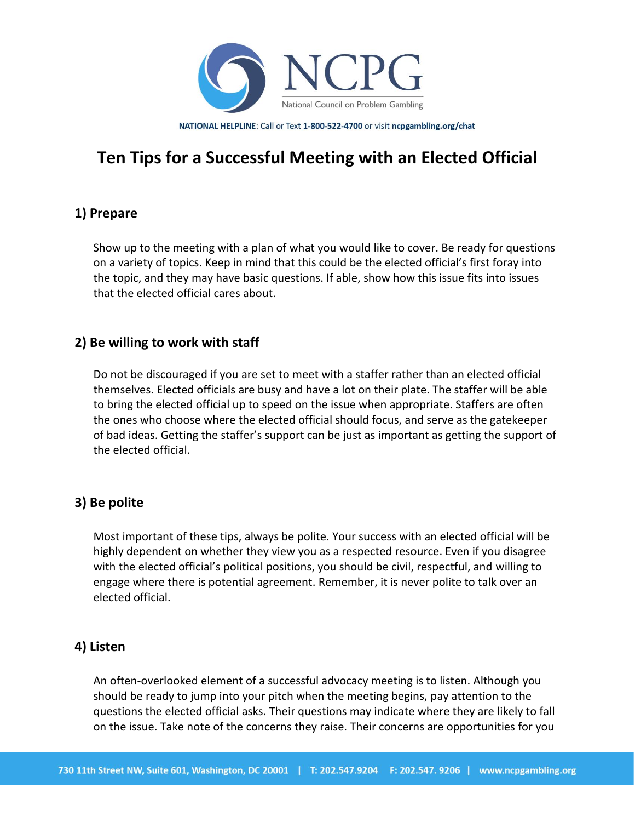

NATIONAL HELPLINE: Call or Text 1-800-522-4700 or visit ncpgambling.org/chat

# **Ten Tips for a Successful Meeting with an Elected Official**

## **1) Prepare**

Show up to the meeting with a plan of what you would like to cover. Be ready for questions on a variety of topics. Keep in mind that this could be the elected official's first foray into the topic, and they may have basic questions. If able, show how this issue fits into issues that the elected official cares about.

#### **2) Be willing to work with staff**

Do not be discouraged if you are set to meet with a staffer rather than an elected official themselves. Elected officials are busy and have a lot on their plate. The staffer will be able to bring the elected official up to speed on the issue when appropriate. Staffers are often the ones who choose where the elected official should focus, and serve as the gatekeeper of bad ideas. Getting the staffer's support can be just as important as getting the support of the elected official.

#### **3) Be polite**

Most important of these tips, always be polite. Your success with an elected official will be highly dependent on whether they view you as a respected resource. Even if you disagree with the elected official's political positions, you should be civil, respectful, and willing to engage where there is potential agreement. Remember, it is never polite to talk over an elected official.

#### **4) Listen**

An often-overlooked element of a successful advocacy meeting is to listen. Although you should be ready to jump into your pitch when the meeting begins, pay attention to the questions the elected official asks. Their questions may indicate where they are likely to fall on the issue. Take note of the concerns they raise. Their concerns are opportunities for you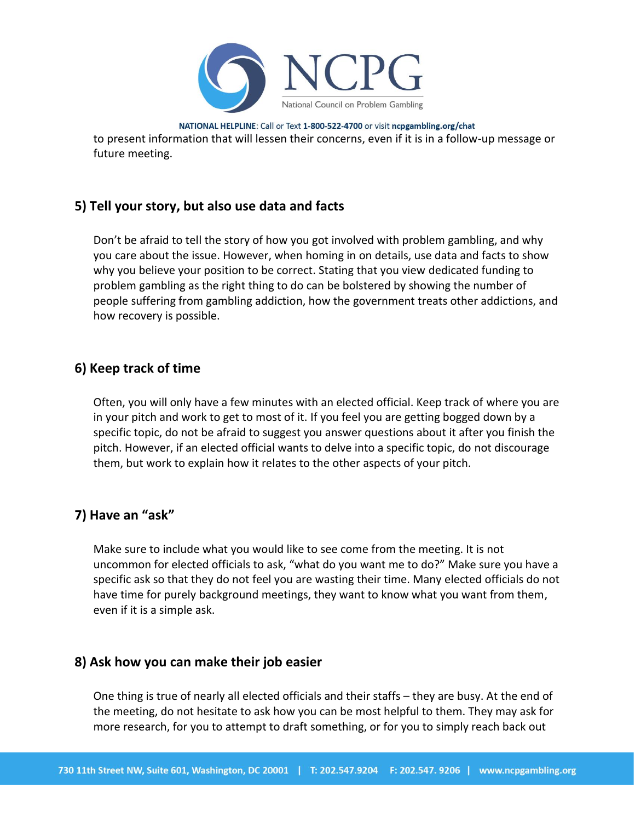

NATIONAL HELPLINE: Call or Text 1-800-522-4700 or visit ncpgambling.org/chat to present information that will lessen their concerns, even if it is in a follow-up message or future meeting.

# **5) Tell your story, but also use data and facts**

Don't be afraid to tell the story of how you got involved with problem gambling, and why you care about the issue. However, when homing in on details, use data and facts to show why you believe your position to be correct. Stating that you view dedicated funding to problem gambling as the right thing to do can be bolstered by showing the number of people suffering from gambling addiction, how the government treats other addictions, and how recovery is possible.

#### **6) Keep track of time**

Often, you will only have a few minutes with an elected official. Keep track of where you are in your pitch and work to get to most of it. If you feel you are getting bogged down by a specific topic, do not be afraid to suggest you answer questions about it after you finish the pitch. However, if an elected official wants to delve into a specific topic, do not discourage them, but work to explain how it relates to the other aspects of your pitch.

#### **7) Have an "ask"**

Make sure to include what you would like to see come from the meeting. It is not uncommon for elected officials to ask, "what do you want me to do?" Make sure you have a specific ask so that they do not feel you are wasting their time. Many elected officials do not have time for purely background meetings, they want to know what you want from them, even if it is a simple ask.

#### **8) Ask how you can make their job easier**

One thing is true of nearly all elected officials and their staffs – they are busy. At the end of the meeting, do not hesitate to ask how you can be most helpful to them. They may ask for more research, for you to attempt to draft something, or for you to simply reach back out